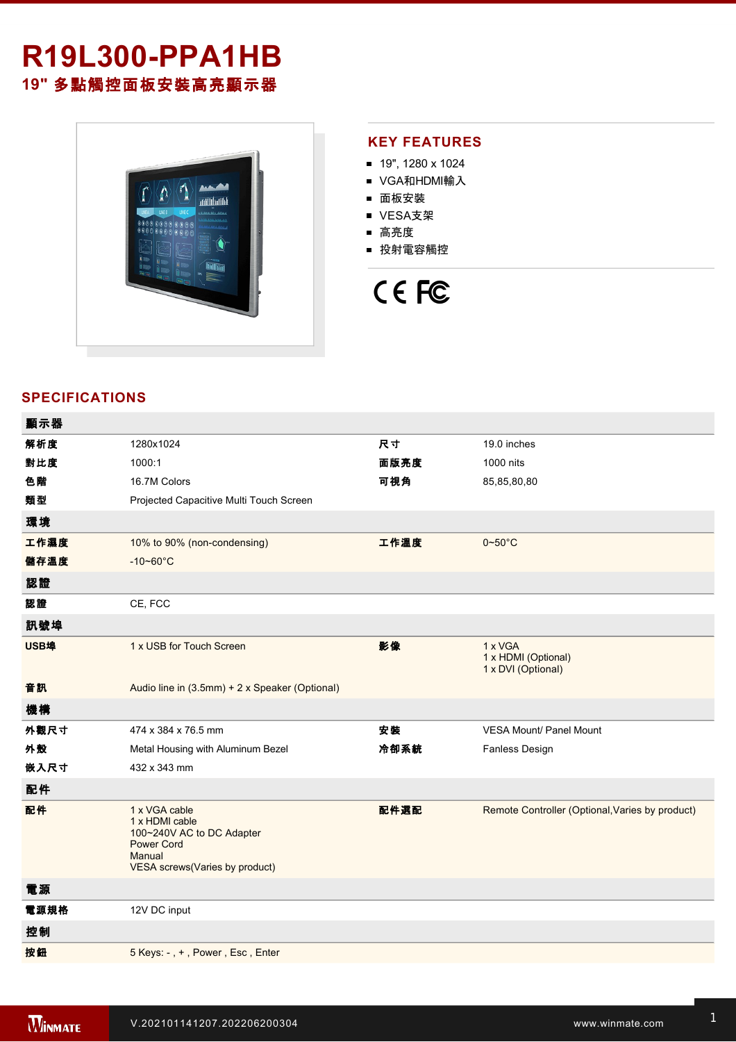## **R19L300-PPA1HB 19"** 多點觸控面板安裝高亮顯示器



## **KEY FEATURES**

- 19", 1280 x 1024
- VGA和HDMI輸入
- 面板安裝
- VESA支架
- 高亮度
- 投射電容觸控



## **SPECIFICATIONS**

| 顯示器  |                                                                                                                               |      |                                                      |
|------|-------------------------------------------------------------------------------------------------------------------------------|------|------------------------------------------------------|
| 解析度  | 1280x1024                                                                                                                     | 尺寸   | 19.0 inches                                          |
| 對比度  | 1000:1                                                                                                                        | 面版亮度 | 1000 nits                                            |
| 色階   | 16.7M Colors                                                                                                                  | 可視角  | 85,85,80,80                                          |
| 類型   | Projected Capacitive Multi Touch Screen                                                                                       |      |                                                      |
| 環境   |                                                                                                                               |      |                                                      |
| 工作濕度 | 10% to 90% (non-condensing)                                                                                                   | 工作溫度 | $0 - 50^{\circ}$ C                                   |
| 儲存溫度 | $-10 - 60^{\circ}$ C                                                                                                          |      |                                                      |
| 認證   |                                                                                                                               |      |                                                      |
| 認證   | CE, FCC                                                                                                                       |      |                                                      |
| 訊號埠  |                                                                                                                               |      |                                                      |
| USB埠 | 1 x USB for Touch Screen                                                                                                      | 影像   | 1 x VGA<br>1 x HDMI (Optional)<br>1 x DVI (Optional) |
| 音訊   | Audio line in (3.5mm) + 2 x Speaker (Optional)                                                                                |      |                                                      |
| 機構   |                                                                                                                               |      |                                                      |
| 外觀尺寸 | 474 x 384 x 76.5 mm                                                                                                           | 安装   | <b>VESA Mount/ Panel Mount</b>                       |
| 外殼   | Metal Housing with Aluminum Bezel                                                                                             | 冷卻系統 | <b>Fanless Design</b>                                |
| 嵌入尺寸 | 432 x 343 mm                                                                                                                  |      |                                                      |
| 配件   |                                                                                                                               |      |                                                      |
| 配件   | 1 x VGA cable<br>1 x HDMI cable<br>100~240V AC to DC Adapter<br><b>Power Cord</b><br>Manual<br>VESA screws(Varies by product) | 配件選配 | Remote Controller (Optional, Varies by product)      |
| 電源   |                                                                                                                               |      |                                                      |
| 電源規格 | 12V DC input                                                                                                                  |      |                                                      |
| 控制   |                                                                                                                               |      |                                                      |
| 按鈕   | 5 Keys: -, +, Power, Esc, Enter                                                                                               |      |                                                      |
|      |                                                                                                                               |      |                                                      |